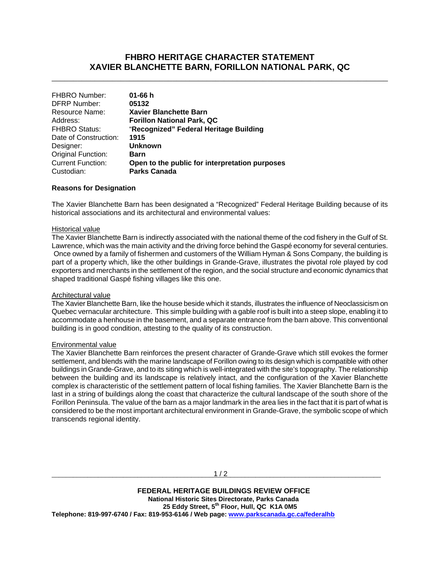# **FHBRO HERITAGE CHARACTER STATEMENT XAVIER BLANCHETTE BARN, FORILLON NATIONAL PARK, QC**

\_\_\_\_\_\_\_\_\_\_\_\_\_\_\_\_\_\_\_\_\_\_\_\_\_\_\_\_\_\_\_\_\_\_\_\_\_\_\_\_\_\_\_\_\_\_\_\_\_\_\_\_\_\_\_\_\_\_\_\_\_\_\_\_\_\_\_\_\_\_\_\_\_\_\_\_\_\_

| 01-66 $h$                                      |
|------------------------------------------------|
| 05132                                          |
| <b>Xavier Blanchette Barn</b>                  |
| <b>Forillon National Park, QC</b>              |
| "Recognized" Federal Heritage Building         |
| 1915                                           |
| <b>Unknown</b>                                 |
| Barn                                           |
| Open to the public for interpretation purposes |
| <b>Parks Canada</b>                            |
|                                                |

### **Reasons for Designation**

The Xavier Blanchette Barn has been designated a "Recognized" Federal Heritage Building because of its historical associations and its architectural and environmental values:

#### Historical value

The Xavier Blanchette Barn is indirectly associated with the national theme of the cod fishery in the Gulf of St. Lawrence, which was the main activity and the driving force behind the Gaspé economy for several centuries. Once owned by a family of fishermen and customers of the William Hyman & Sons Company, the building is part of a property which, like the other buildings in Grande-Grave, illustrates the pivotal role played by cod exporters and merchants in the settlement of the region, and the social structure and economic dynamics that shaped traditional Gaspé fishing villages like this one.

#### Architectural value

The Xavier Blanchette Barn, like the house beside which it stands, illustrates the influence of Neoclassicism on Quebec vernacular architecture. This simple building with a gable roof is built into a steep slope, enabling it to accommodate a henhouse in the basement, and a separate entrance from the barn above. This conventional building is in good condition, attesting to the quality of its construction.

#### Environmental value

The Xavier Blanchette Barn reinforces the present character of Grande-Grave which still evokes the former settlement, and blends with the marine landscape of Forillon owing to its design which is compatible with other buildings in Grande-Grave, and to its siting which is well-integrated with the site's topography. The relationship between the building and its landscape is relatively intact, and the configuration of the Xavier Blanchette complex is characteristic of the settlement pattern of local fishing families. The Xavier Blanchette Barn is the last in a string of buildings along the coast that characterize the cultural landscape of the south shore of the Forillon Peninsula. The value of the barn as a major landmark in the area lies in the fact that it is part of what is considered to be the most important architectural environment in Grande-Grave, the symbolic scope of which transcends regional identity.